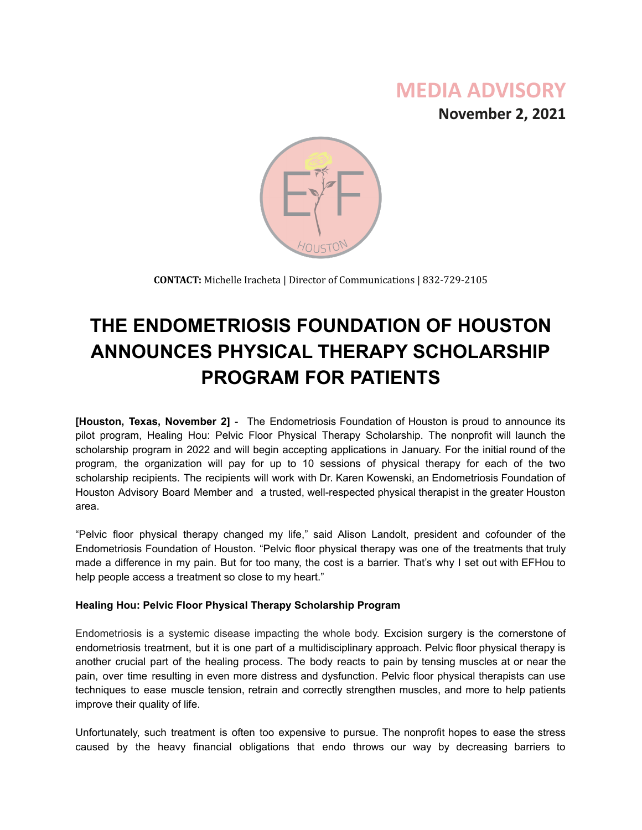## **MEDIA ADVISORY**

**November 2, 2021**



**CONTACT:** Michelle Iracheta | Director of Communications | 832-729-2105

# **THE ENDOMETRIOSIS FOUNDATION OF HOUSTON ANNOUNCES PHYSICAL THERAPY SCHOLARSHIP PROGRAM FOR PATIENTS**

**[Houston, Texas, November 2]** - The Endometriosis Foundation of Houston is proud to announce its pilot program, Healing Hou: Pelvic Floor Physical Therapy Scholarship. The nonprofit will launch the scholarship program in 2022 and will begin accepting applications in January. For the initial round of the program, the organization will pay for up to 10 sessions of physical therapy for each of the two scholarship recipients. The recipients will work with Dr. Karen Kowenski, an Endometriosis Foundation of Houston Advisory Board Member and a trusted, well-respected physical therapist in the greater Houston area.

"Pelvic floor physical therapy changed my life," said Alison Landolt, president and cofounder of the Endometriosis Foundation of Houston. "Pelvic floor physical therapy was one of the treatments that truly made a difference in my pain. But for too many, the cost is a barrier. That's why I set out with EFHou to help people access a treatment so close to my heart."

#### **Healing Hou: Pelvic Floor Physical Therapy Scholarship Program**

Endometriosis is a systemic disease impacting the whole body. Excision surgery is the cornerstone of endometriosis treatment, but it is one part of a multidisciplinary approach. Pelvic floor physical therapy is another crucial part of the healing process. The body reacts to pain by tensing muscles at or near the pain, over time resulting in even more distress and dysfunction. Pelvic floor physical therapists can use techniques to ease muscle tension, retrain and correctly strengthen muscles, and more to help patients improve their quality of life.

Unfortunately, such treatment is often too expensive to pursue. The nonprofit hopes to ease the stress caused by the heavy financial obligations that endo throws our way by decreasing barriers to